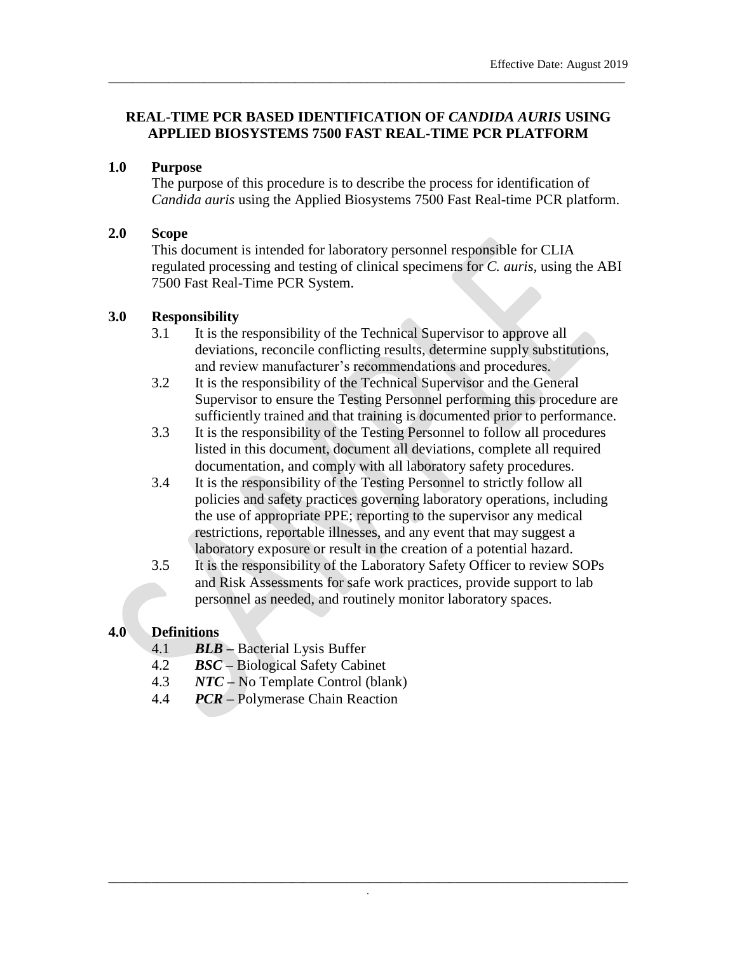### **REAL-TIME PCR BASED IDENTIFICATION OF** *CANDIDA AURIS* **USING APPLIED BIOSYSTEMS 7500 FAST REAL-TIME PCR PLATFORM**

\_\_\_\_\_\_\_\_\_\_\_\_\_\_\_\_\_\_\_\_\_\_\_\_\_\_\_\_\_\_\_\_\_\_\_\_\_\_\_\_\_\_\_\_\_\_\_\_\_\_\_\_\_\_\_\_\_\_\_\_\_\_\_\_\_\_\_\_\_\_\_\_\_\_\_\_\_\_\_\_\_\_\_\_\_\_

### **1.0 Purpose**

The purpose of this procedure is to describe the process for identification of *Candida auris* using the Applied Biosystems 7500 Fast Real-time PCR platform.

### **2.0 Scope**

This document is intended for laboratory personnel responsible for CLIA regulated processing and testing of clinical specimens for *C. auris,* using the ABI 7500 Fast Real-Time PCR System.

#### **3.0 Responsibility**

- 3.1 It is the responsibility of the Technical Supervisor to approve all deviations, reconcile conflicting results, determine supply substitutions, and review manufacturer's recommendations and procedures.
- 3.2 It is the responsibility of the Technical Supervisor and the General Supervisor to ensure the Testing Personnel performing this procedure are sufficiently trained and that training is documented prior to performance.
- 3.3 It is the responsibility of the Testing Personnel to follow all procedures listed in this document, document all deviations, complete all required documentation, and comply with all laboratory safety procedures.
- 3.4 It is the responsibility of the Testing Personnel to strictly follow all policies and safety practices governing laboratory operations, including the use of appropriate PPE; reporting to the supervisor any medical restrictions, reportable illnesses, and any event that may suggest a laboratory exposure or result in the creation of a potential hazard.
- 3.5 It is the responsibility of the Laboratory Safety Officer to review SOPs and Risk Assessments for safe work practices, provide support to lab personnel as needed, and routinely monitor laboratory spaces.

### **4.0 Definitions**

- 4.1 *BLB –* Bacterial Lysis Buffer
- 4.2 *BSC* **–** Biological Safety Cabinet
- 4.3 *NTC* **–** No Template Control (blank)
- 4.4 *PCR* **–** Polymerase Chain Reaction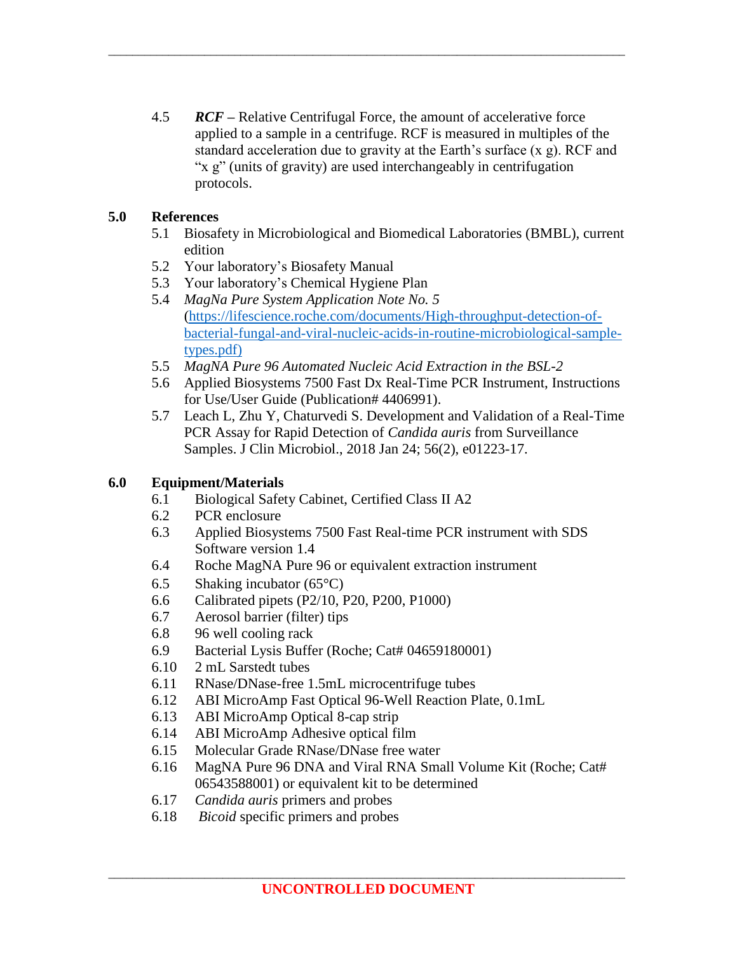4.5 *RCF –* Relative Centrifugal Force*,* the amount of accelerative force applied to a sample in a centrifuge. RCF is measured in multiples of the standard acceleration due to gravity at the Earth's surface  $(x, g)$ . RCF and "x g" (units of gravity) are used interchangeably in centrifugation protocols.

\_\_\_\_\_\_\_\_\_\_\_\_\_\_\_\_\_\_\_\_\_\_\_\_\_\_\_\_\_\_\_\_\_\_\_\_\_\_\_\_\_\_\_\_\_\_\_\_\_\_\_\_\_\_\_\_\_\_\_\_\_\_\_\_\_\_\_\_\_\_\_\_\_\_\_\_\_\_\_\_\_\_\_\_\_\_

### **5.0 References**

- 5.1 Biosafety in Microbiological and Biomedical Laboratories (BMBL), current edition
- 5.2 Your laboratory's Biosafety Manual
- 5.3 Your laboratory's Chemical Hygiene Plan
- 5.4 *MagNa Pure System Application Note No. 5*  [\(https://lifescience.roche.com/documents/High-throughput-detection-of](https://lifescience.roche.com/documents/High-throughput-detection-of-bacterial-fungal-and-viral-nucleic-acids-in-routine-microbiological-sample-types.pdf)[bacterial-fungal-and-viral-nucleic-acids-in-routine-microbiological-sample](https://lifescience.roche.com/documents/High-throughput-detection-of-bacterial-fungal-and-viral-nucleic-acids-in-routine-microbiological-sample-types.pdf)[types.pdf\)](https://lifescience.roche.com/documents/High-throughput-detection-of-bacterial-fungal-and-viral-nucleic-acids-in-routine-microbiological-sample-types.pdf)
- 5.5 *MagNA Pure 96 Automated Nucleic Acid Extraction in the BSL-2*
- 5.6 Applied Biosystems 7500 Fast Dx Real-Time PCR Instrument, Instructions for Use/User Guide (Publication# 4406991).
- 5.7 Leach L, Zhu Y, Chaturvedi S. Development and Validation of a Real-Time PCR Assay for Rapid Detection of *Candida auris* from Surveillance Samples. J Clin Microbiol., 2018 Jan 24; 56(2), e01223-17.

# **6.0 Equipment/Materials**

- 6.1 Biological Safety Cabinet, Certified Class II A2
- 6.2 PCR enclosure
- 6.3 Applied Biosystems 7500 Fast Real-time PCR instrument with SDS Software version 1.4
- 6.4 Roche MagNA Pure 96 or equivalent extraction instrument
- 6.5 Shaking incubator  $(65^{\circ}C)$
- 6.6 Calibrated pipets (P2/10, P20, P200, P1000)
- 6.7 Aerosol barrier (filter) tips
- 6.8 96 well cooling rack
- 6.9 Bacterial Lysis Buffer (Roche; Cat# 04659180001)
- 6.10 2 mL Sarstedt tubes
- 6.11 RNase/DNase-free 1.5mL microcentrifuge tubes
- 6.12 ABI MicroAmp Fast Optical 96-Well Reaction Plate, 0.1mL
- 6.13 ABI MicroAmp Optical 8-cap strip
- 6.14 ABI MicroAmp Adhesive optical film
- 6.15 Molecular Grade RNase/DNase free water
- 6.16 MagNA Pure 96 DNA and Viral RNA Small Volume Kit (Roche; Cat# 06543588001) or equivalent kit to be determined
- 6.17 *Candida auris* primers and probes
- 6.18 *Bicoid* specific primers and probes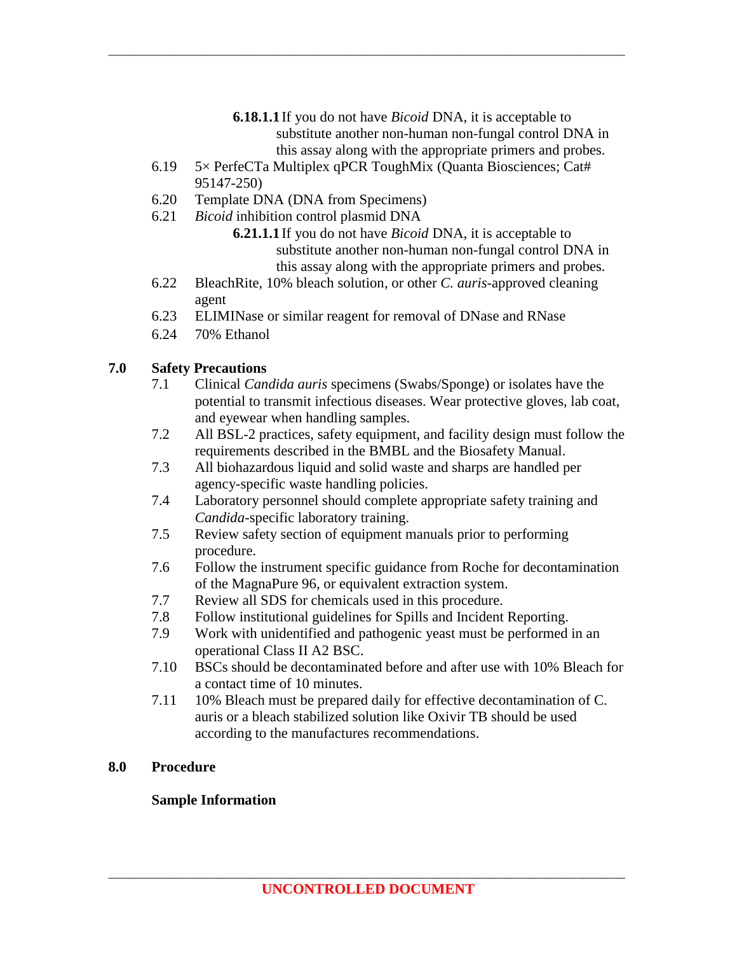- **6.18.1.1**If you do not have *Bicoid* DNA, it is acceptable to substitute another non-human non-fungal control DNA in this assay along with the appropriate primers and probes.
- 6.19 5× PerfeCTa Multiplex qPCR ToughMix (Quanta Biosciences; Cat# 95147-250)

\_\_\_\_\_\_\_\_\_\_\_\_\_\_\_\_\_\_\_\_\_\_\_\_\_\_\_\_\_\_\_\_\_\_\_\_\_\_\_\_\_\_\_\_\_\_\_\_\_\_\_\_\_\_\_\_\_\_\_\_\_\_\_\_\_\_\_\_\_\_\_\_\_\_\_\_\_\_\_\_\_\_\_\_\_\_

- 6.20 Template DNA (DNA from Specimens)
- 6.21 *Bicoid* inhibition control plasmid DNA
	- **6.21.1.1**If you do not have *Bicoid* DNA, it is acceptable to substitute another non-human non-fungal control DNA in this assay along with the appropriate primers and probes.
- 6.22 BleachRite, 10% bleach solution, or other *C. auris*-approved cleaning agent
- 6.23 ELIMINase or similar reagent for removal of DNase and RNase
- 6.24 70% Ethanol

# **7.0 Safety Precautions**

- 7.1 Clinical *Candida auris* specimens (Swabs/Sponge) or isolates have the potential to transmit infectious diseases. Wear protective gloves, lab coat, and eyewear when handling samples.
- 7.2 All BSL-2 practices, safety equipment, and facility design must follow the requirements described in the BMBL and the Biosafety Manual.
- 7.3 All biohazardous liquid and solid waste and sharps are handled per agency-specific waste handling policies.
- 7.4 Laboratory personnel should complete appropriate safety training and *Candida*-specific laboratory training.
- 7.5 Review safety section of equipment manuals prior to performing procedure.
- 7.6 Follow the instrument specific guidance from Roche for decontamination of the MagnaPure 96, or equivalent extraction system.
- 7.7 Review all SDS for chemicals used in this procedure.
- 7.8 Follow institutional guidelines for Spills and Incident Reporting.
- 7.9 Work with unidentified and pathogenic yeast must be performed in an operational Class II A2 BSC.
- 7.10 BSCs should be decontaminated before and after use with 10% Bleach for a contact time of 10 minutes.
- 7.11 10% Bleach must be prepared daily for effective decontamination of C. auris or a bleach stabilized solution like Oxivir TB should be used according to the manufactures recommendations.

# **8.0 Procedure**

# **Sample Information**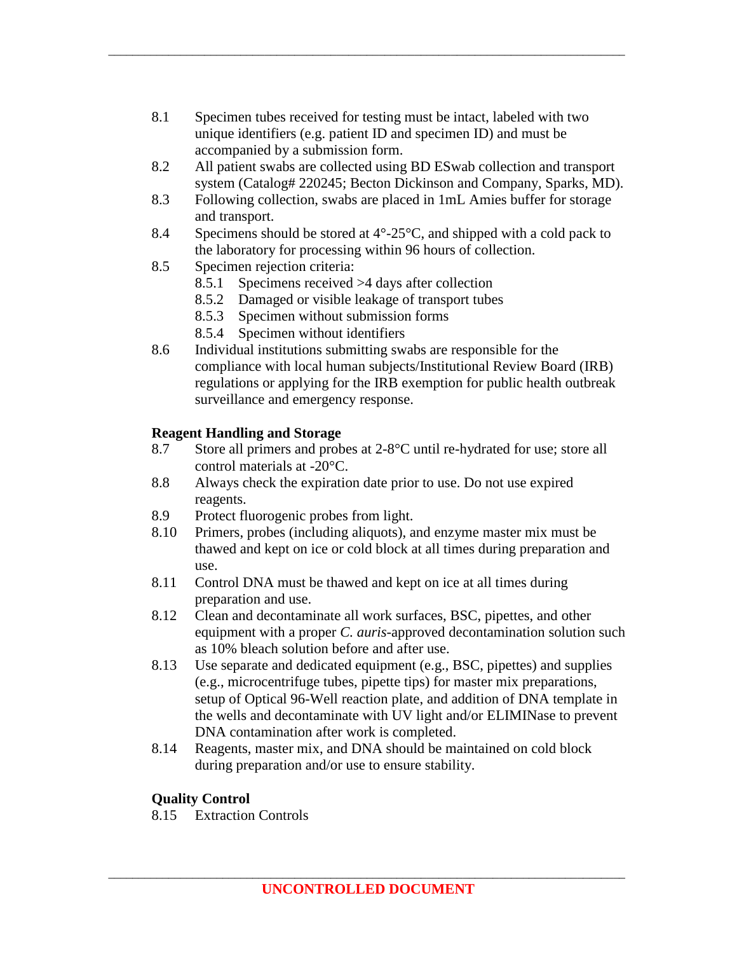8.1 Specimen tubes received for testing must be intact, labeled with two unique identifiers (e.g. patient ID and specimen ID) and must be accompanied by a submission form.

\_\_\_\_\_\_\_\_\_\_\_\_\_\_\_\_\_\_\_\_\_\_\_\_\_\_\_\_\_\_\_\_\_\_\_\_\_\_\_\_\_\_\_\_\_\_\_\_\_\_\_\_\_\_\_\_\_\_\_\_\_\_\_\_\_\_\_\_\_\_\_\_\_\_\_\_\_\_\_\_\_\_\_\_\_\_

- 8.2 All patient swabs are collected using BD ESwab collection and transport system (Catalog# 220245; Becton Dickinson and Company, Sparks, MD).
- 8.3 Following collection, swabs are placed in 1mL Amies buffer for storage and transport.
- 8.4 Specimens should be stored at  $4^{\circ}$ -25 $^{\circ}$ C, and shipped with a cold pack to the laboratory for processing within 96 hours of collection.
- 8.5 Specimen rejection criteria:
	- 8.5.1 Specimens received >4 days after collection
	- 8.5.2 Damaged or visible leakage of transport tubes
	- 8.5.3 Specimen without submission forms
	- 8.5.4 Specimen without identifiers
- 8.6 Individual institutions submitting swabs are responsible for the compliance with local human subjects/Institutional Review Board (IRB) regulations or applying for the IRB exemption for public health outbreak surveillance and emergency response.

### **Reagent Handling and Storage**

- 8.7 Store all primers and probes at 2-8°C until re-hydrated for use; store all control materials at -20°C.
- 8.8 Always check the expiration date prior to use. Do not use expired reagents.
- 8.9 Protect fluorogenic probes from light.
- 8.10 Primers, probes (including aliquots), and enzyme master mix must be thawed and kept on ice or cold block at all times during preparation and use.
- 8.11 Control DNA must be thawed and kept on ice at all times during preparation and use.
- 8.12 Clean and decontaminate all work surfaces, BSC, pipettes, and other equipment with a proper *C. auris*-approved decontamination solution such as 10% bleach solution before and after use.
- 8.13 Use separate and dedicated equipment (e.g., BSC, pipettes) and supplies (e.g., microcentrifuge tubes, pipette tips) for master mix preparations, setup of Optical 96-Well reaction plate, and addition of DNA template in the wells and decontaminate with UV light and/or ELIMINase to prevent DNA contamination after work is completed.
- 8.14 Reagents, master mix, and DNA should be maintained on cold block during preparation and/or use to ensure stability.

# **Quality Control**

8.15 Extraction Controls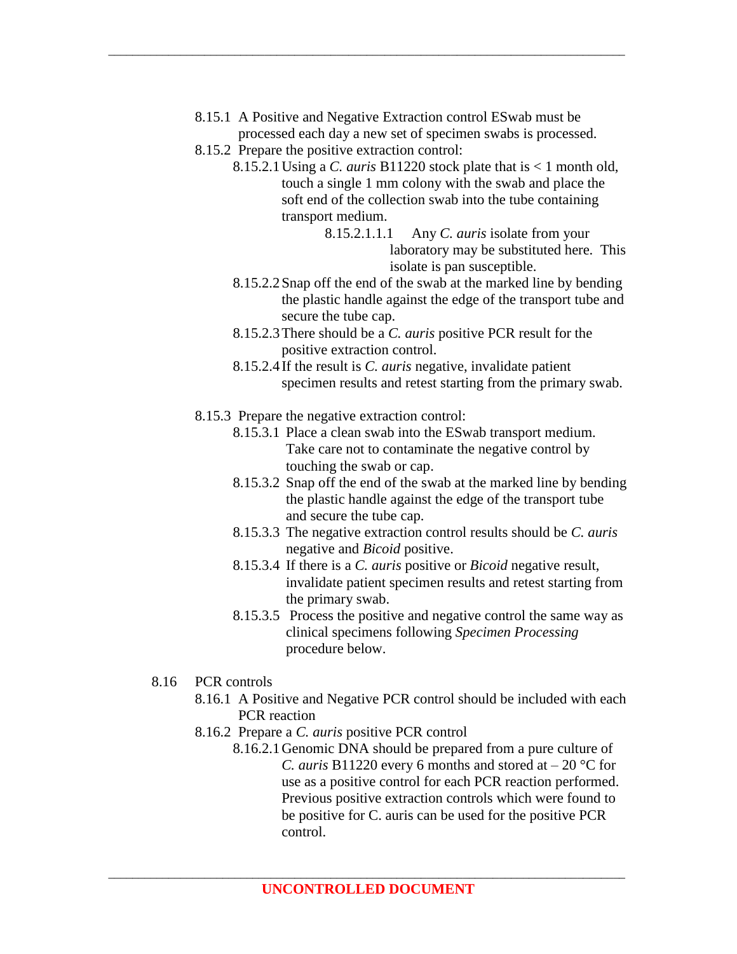8.15.1 A Positive and Negative Extraction control ESwab must be processed each day a new set of specimen swabs is processed.

\_\_\_\_\_\_\_\_\_\_\_\_\_\_\_\_\_\_\_\_\_\_\_\_\_\_\_\_\_\_\_\_\_\_\_\_\_\_\_\_\_\_\_\_\_\_\_\_\_\_\_\_\_\_\_\_\_\_\_\_\_\_\_\_\_\_\_\_\_\_\_\_\_\_\_\_\_\_\_\_\_\_\_\_\_\_

- 8.15.2 Prepare the positive extraction control:
	- 8.15.2.1Using a *C. auris* B11220 stock plate that is < 1 month old, touch a single 1 mm colony with the swab and place the soft end of the collection swab into the tube containing transport medium.
		- 8.15.2.1.1.1 Any *C. auris* isolate from your laboratory may be substituted here. This isolate is pan susceptible.
	- 8.15.2.2Snap off the end of the swab at the marked line by bending the plastic handle against the edge of the transport tube and secure the tube cap.
	- 8.15.2.3There should be a *C. auris* positive PCR result for the positive extraction control.
	- 8.15.2.4If the result is *C. auris* negative, invalidate patient specimen results and retest starting from the primary swab.
- 8.15.3 Prepare the negative extraction control:
	- 8.15.3.1 Place a clean swab into the ESwab transport medium. Take care not to contaminate the negative control by touching the swab or cap.
	- 8.15.3.2 Snap off the end of the swab at the marked line by bending the plastic handle against the edge of the transport tube and secure the tube cap.
	- 8.15.3.3 The negative extraction control results should be *C. auris* negative and *Bicoid* positive.
	- 8.15.3.4 If there is a *C. auris* positive or *Bicoid* negative result, invalidate patient specimen results and retest starting from the primary swab.
	- 8.15.3.5 Process the positive and negative control the same way as clinical specimens following *Specimen Processing*  procedure below.
- 8.16 PCR controls
	- 8.16.1 A Positive and Negative PCR control should be included with each PCR reaction
	- 8.16.2 Prepare a *C. auris* positive PCR control
		- 8.16.2.1Genomic DNA should be prepared from a pure culture of *C. auris* B11220 every 6 months and stored at – 20 °C for use as a positive control for each PCR reaction performed. Previous positive extraction controls which were found to be positive for C. auris can be used for the positive PCR control.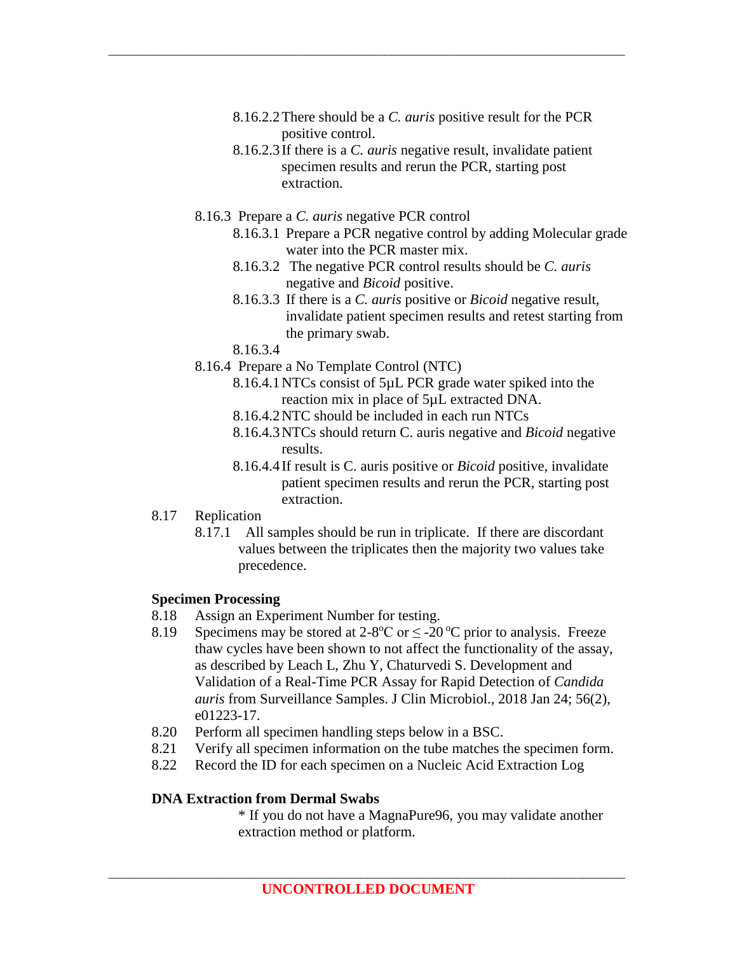8.16.2.2There should be a *C. auris* positive result for the PCR positive control.

\_\_\_\_\_\_\_\_\_\_\_\_\_\_\_\_\_\_\_\_\_\_\_\_\_\_\_\_\_\_\_\_\_\_\_\_\_\_\_\_\_\_\_\_\_\_\_\_\_\_\_\_\_\_\_\_\_\_\_\_\_\_\_\_\_\_\_\_\_\_\_\_\_\_\_\_\_\_\_\_\_\_\_\_\_\_

- 8.16.2.3If there is a *C. auris* negative result, invalidate patient specimen results and rerun the PCR, starting post extraction.
- 8.16.3 Prepare a *C. auris* negative PCR control
	- 8.16.3.1 Prepare a PCR negative control by adding Molecular grade water into the PCR master mix.
	- 8.16.3.2 The negative PCR control results should be *C. auris* negative and *Bicoid* positive.
	- 8.16.3.3 If there is a *C. auris* positive or *Bicoid* negative result, invalidate patient specimen results and retest starting from the primary swab.
	- 8.16.3.4
- 8.16.4 Prepare a No Template Control (NTC)
	- 8.16.4.1NTCs consist of 5µL PCR grade water spiked into the reaction mix in place of 5µL extracted DNA.
	- 8.16.4.2NTC should be included in each run NTCs
	- 8.16.4.3NTCs should return C. auris negative and *Bicoid* negative results.
	- 8.16.4.4If result is C. auris positive or *Bicoid* positive, invalidate patient specimen results and rerun the PCR, starting post extraction.
- 8.17 Replication
	- 8.17.1 All samples should be run in triplicate. If there are discordant values between the triplicates then the majority two values take precedence.

### **Specimen Processing**

- 8.18 Assign an Experiment Number for testing.
- 8.19 Specimens may be stored at  $2-8$ <sup>o</sup>C or  $\leq -20$ <sup>o</sup>C prior to analysis. Freeze thaw cycles have been shown to not affect the functionality of the assay, as described by Leach L, Zhu Y, Chaturvedi S. Development and Validation of a Real-Time PCR Assay for Rapid Detection of *Candida auris* from Surveillance Samples. J Clin Microbiol., 2018 Jan 24; 56(2), e01223-17.
- 8.20 Perform all specimen handling steps below in a BSC.
- 8.21 Verify all specimen information on the tube matches the specimen form.
- 8.22 Record the ID for each specimen on a Nucleic Acid Extraction Log

### **DNA Extraction from Dermal Swabs**

\* If you do not have a MagnaPure96, you may validate another extraction method or platform.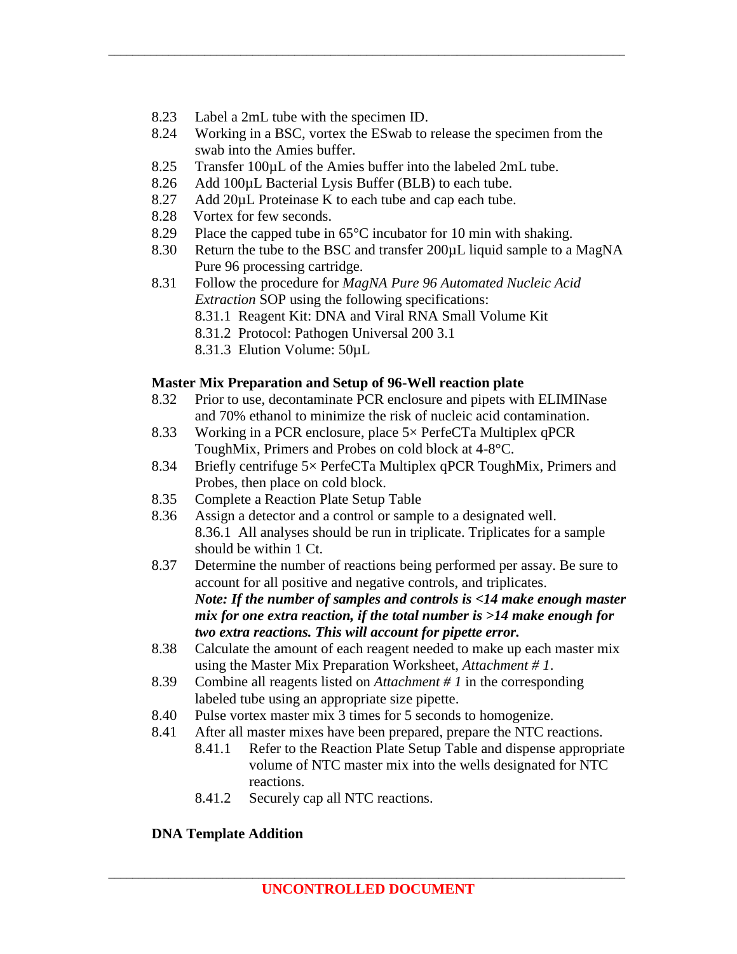- 8.23 Label a 2mL tube with the specimen ID.
- 8.24 Working in a BSC, vortex the ESwab to release the specimen from the swab into the Amies buffer.

\_\_\_\_\_\_\_\_\_\_\_\_\_\_\_\_\_\_\_\_\_\_\_\_\_\_\_\_\_\_\_\_\_\_\_\_\_\_\_\_\_\_\_\_\_\_\_\_\_\_\_\_\_\_\_\_\_\_\_\_\_\_\_\_\_\_\_\_\_\_\_\_\_\_\_\_\_\_\_\_\_\_\_\_\_\_

- 8.25 Transfer 100µL of the Amies buffer into the labeled 2mL tube.
- 8.26 Add 100µL Bacterial Lysis Buffer (BLB) to each tube.
- 8.27 Add 20µL Proteinase K to each tube and cap each tube.
- 8.28 Vortex for few seconds.
- 8.29 Place the capped tube in 65°C incubator for 10 min with shaking.
- 8.30 Return the tube to the BSC and transfer 200µL liquid sample to a MagNA Pure 96 processing cartridge.
- 8.31 Follow the procedure for *MagNA Pure 96 Automated Nucleic Acid Extraction* SOP using the following specifications:
	- 8.31.1 Reagent Kit: DNA and Viral RNA Small Volume Kit
	- 8.31.2 Protocol: Pathogen Universal 200 3.1
	- 8.31.3 Elution Volume: 50µL

### **Master Mix Preparation and Setup of 96-Well reaction plate**

- 8.32 Prior to use, decontaminate PCR enclosure and pipets with ELIMINase and 70% ethanol to minimize the risk of nucleic acid contamination.
- 8.33 Working in a PCR enclosure, place 5× PerfeCTa Multiplex qPCR ToughMix, Primers and Probes on cold block at 4-8°C.
- 8.34 Briefly centrifuge 5× PerfeCTa Multiplex qPCR ToughMix, Primers and Probes, then place on cold block.
- 8.35 Complete a Reaction Plate Setup Table
- 8.36 Assign a detector and a control or sample to a designated well. 8.36.1 All analyses should be run in triplicate. Triplicates for a sample should be within 1 Ct.
- 8.37 Determine the number of reactions being performed per assay. Be sure to account for all positive and negative controls, and triplicates. *Note: If the number of samples and controls is <14 make enough master mix for one extra reaction, if the total number is >14 make enough for two extra reactions. This will account for pipette error.*
- 8.38 Calculate the amount of each reagent needed to make up each master mix using the Master Mix Preparation Worksheet, *Attachment # 1*.
- 8.39 Combine all reagents listed on *Attachment # 1* in the corresponding labeled tube using an appropriate size pipette.
- 8.40 Pulse vortex master mix 3 times for 5 seconds to homogenize.
- 8.41 After all master mixes have been prepared, prepare the NTC reactions.
	- 8.41.1 Refer to the Reaction Plate Setup Table and dispense appropriate volume of NTC master mix into the wells designated for NTC reactions.
	- 8.41.2 Securely cap all NTC reactions.

# **DNA Template Addition**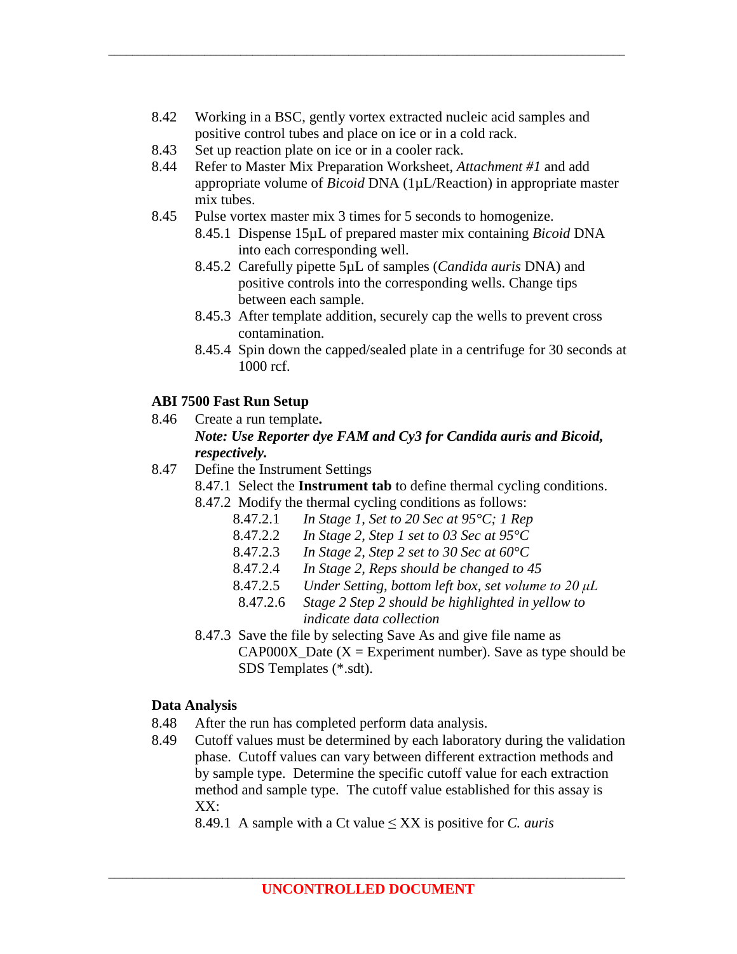8.42 Working in a BSC, gently vortex extracted nucleic acid samples and positive control tubes and place on ice or in a cold rack.

\_\_\_\_\_\_\_\_\_\_\_\_\_\_\_\_\_\_\_\_\_\_\_\_\_\_\_\_\_\_\_\_\_\_\_\_\_\_\_\_\_\_\_\_\_\_\_\_\_\_\_\_\_\_\_\_\_\_\_\_\_\_\_\_\_\_\_\_\_\_\_\_\_\_\_\_\_\_\_\_\_\_\_\_\_\_

- 8.43 Set up reaction plate on ice or in a cooler rack.
- 8.44 Refer to Master Mix Preparation Worksheet, *Attachment #1* and add appropriate volume of *Bicoid* DNA (1µL/Reaction) in appropriate master mix tubes.
- 8.45 Pulse vortex master mix 3 times for 5 seconds to homogenize. 8.45.1 Dispense 15µL of prepared master mix containing *Bicoid* DNA into each corresponding well.
	- 8.45.2 Carefully pipette 5µL of samples (*Candida auris* DNA) and positive controls into the corresponding wells. Change tips between each sample.
	- 8.45.3 After template addition, securely cap the wells to prevent cross contamination.
	- 8.45.4 Spin down the capped/sealed plate in a centrifuge for 30 seconds at 1000 rcf.

### **ABI 7500 Fast Run Setup**

- 8.46 Create a run template**.** *Note: Use Reporter dye FAM and Cy3 for Candida auris and Bicoid, respectively.*
- 8.47 Define the Instrument Settings
	- 8.47.1 Select the **Instrument tab** to define thermal cycling conditions.
	- 8.47.2 Modify the thermal cycling conditions as follows:
		- 8.47.2.1 *In Stage 1, Set to 20 Sec at 95°C; 1 Rep*
		- 8.47.2.2 *In Stage 2, Step 1 set to 03 Sec at 95°C*
		- 8.47.2.3 *In Stage 2, Step 2 set to 30 Sec at 60°C*
		- 8.47.2.4 *In Stage 2, Reps should be changed to 45*
		- 8.47.2.5 *Under Setting, bottom left box, set volume to 20 μL*
		- 8.47.2.6 *Stage 2 Step 2 should be highlighted in yellow to indicate data collection*
	- 8.47.3 Save the file by selecting Save As and give file name as CAP000X\_Date  $(X = Experiment number)$ . Save as type should be SDS Templates (\*.sdt).

### **Data Analysis**

- 8.48 After the run has completed perform data analysis.
- 8.49 Cutoff values must be determined by each laboratory during the validation phase. Cutoff values can vary between different extraction methods and by sample type. Determine the specific cutoff value for each extraction method and sample type. The cutoff value established for this assay is XX:

8.49.1 A sample with a Ct value ≤ XX is positive for *C. auris*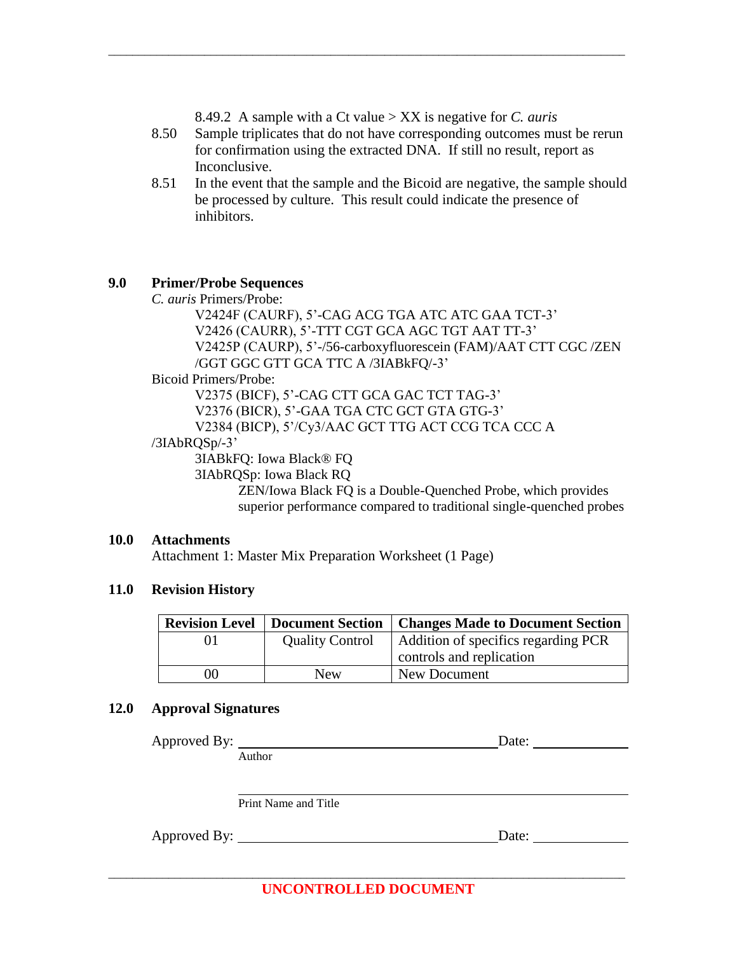8.49.2 A sample with a Ct value > XX is negative for *C. auris*

\_\_\_\_\_\_\_\_\_\_\_\_\_\_\_\_\_\_\_\_\_\_\_\_\_\_\_\_\_\_\_\_\_\_\_\_\_\_\_\_\_\_\_\_\_\_\_\_\_\_\_\_\_\_\_\_\_\_\_\_\_\_\_\_\_\_\_\_\_\_\_\_\_\_\_\_\_\_\_\_\_\_\_\_\_\_

- 8.50 Sample triplicates that do not have corresponding outcomes must be rerun for confirmation using the extracted DNA. If still no result, report as Inconclusive.
- 8.51 In the event that the sample and the Bicoid are negative, the sample should be processed by culture. This result could indicate the presence of inhibitors.

#### **9.0 Primer/Probe Sequences**

*C. auris* Primers/Probe:

V2424F (CAURF), 5'-CAG ACG TGA ATC ATC GAA TCT-3' V2426 (CAURR), 5'-TTT CGT GCA AGC TGT AAT TT-3' V2425P (CAURP), 5'-/56-carboxyfluorescein (FAM)/AAT CTT CGC /ZEN /GGT GGC GTT GCA TTC A /3IABkFQ/-3'

#### Bicoid Primers/Probe:

V2375 (BICF), 5'-CAG CTT GCA GAC TCT TAG-3' V2376 (BICR), 5'-GAA TGA CTC GCT GTA GTG-3' V2384 (BICP), 5'/Cy3/AAC GCT TTG ACT CCG TCA CCC A

#### /3IAbRQSp/-3'

3IABkFQ: Iowa Black® FQ 3IAbRQSp: Iowa Black RQ

ZEN/Iowa Black FQ is a Double-Quenched Probe, which provides superior performance compared to traditional single-quenched probes

#### **10.0 Attachments**

Attachment 1: Master Mix Preparation Worksheet (1 Page)

### **11.0 Revision History**

| <b>Revision Level</b> | Document Section       | <b>Changes Made to Document Section</b> |
|-----------------------|------------------------|-----------------------------------------|
|                       | <b>Quality Control</b> | Addition of specifics regarding PCR     |
|                       |                        | controls and replication                |
| 00                    | New                    | New Document                            |

### **12.0 Approval Signatures**

| Approved By: |                      | Date: |  |
|--------------|----------------------|-------|--|
|              | Author               |       |  |
|              |                      |       |  |
|              |                      |       |  |
|              | Print Name and Title |       |  |
| Approved By: |                      | Date: |  |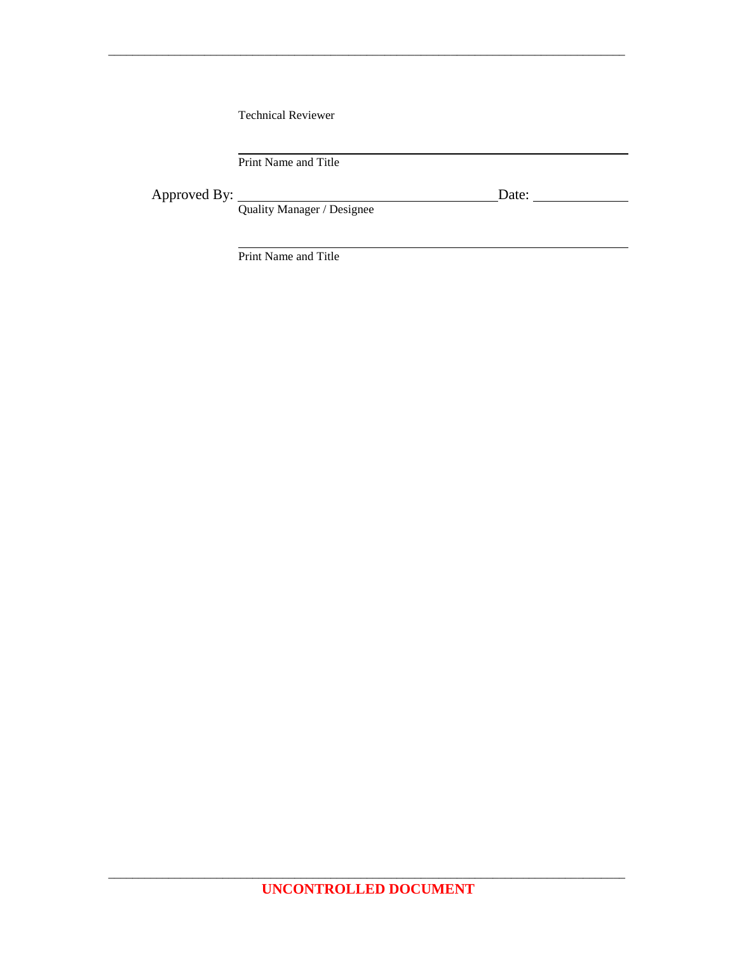Technical Reviewer

Print Name and Title

Approved By: Date:

Quality Manager / Designee

\_\_\_\_\_\_\_\_\_\_\_\_\_\_\_\_\_\_\_\_\_\_\_\_\_\_\_\_\_\_\_\_\_\_\_\_\_\_\_\_\_\_\_\_\_\_\_\_\_\_\_\_\_\_\_\_\_\_\_\_\_\_\_\_\_\_\_\_\_\_\_\_\_\_\_\_\_\_\_\_\_\_\_\_\_\_

Print Name and Title